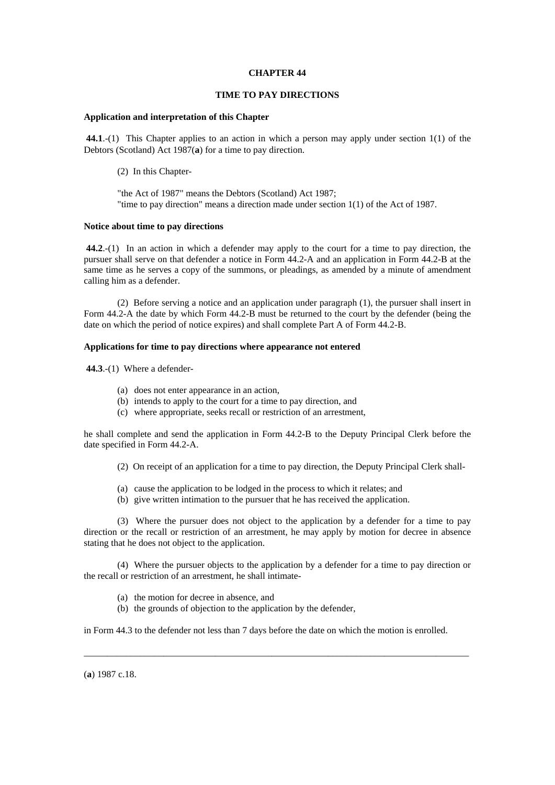# **CHAPTER 44**

# **TIME TO PAY DIRECTIONS**

### **Application and interpretation of this Chapter**

**44.1**.-(1) This Chapter applies to an action in which a person may apply under section 1(1) of the Debtors (Scotland) Act 1987(**a**) for a time to pay direction.

(2) In this Chapter-

 "the Act of 1987" means the Debtors (Scotland) Act 1987; "time to pay direction" means a direction made under section 1(1) of the Act of 1987.

#### **Notice about time to pay directions**

 **44.2**.-(1) In an action in which a defender may apply to the court for a time to pay direction, the pursuer shall serve on that defender a notice in Form 44.2-A and an application in Form 44.2-B at the same time as he serves a copy of the summons, or pleadings, as amended by a minute of amendment calling him as a defender.

 (2) Before serving a notice and an application under paragraph (1), the pursuer shall insert in Form 44.2-A the date by which Form 44.2-B must be returned to the court by the defender (being the date on which the period of notice expires) and shall complete Part A of Form 44.2-B.

# **Applications for time to pay directions where appearance not entered**

**44.3**.-(1) Where a defender-

- (a) does not enter appearance in an action,
- (b) intends to apply to the court for a time to pay direction, and
- (c) where appropriate, seeks recall or restriction of an arrestment,

he shall complete and send the application in Form 44.2-B to the Deputy Principal Clerk before the date specified in Form 44.2-A.

(2) On receipt of an application for a time to pay direction, the Deputy Principal Clerk shall-

- (a) cause the application to be lodged in the process to which it relates; and
- (b) give written intimation to the pursuer that he has received the application.

 (3) Where the pursuer does not object to the application by a defender for a time to pay direction or the recall or restriction of an arrestment, he may apply by motion for decree in absence stating that he does not object to the application.

 (4) Where the pursuer objects to the application by a defender for a time to pay direction or the recall or restriction of an arrestment, he shall intimate-

- (a) the motion for decree in absence, and
- (b) the grounds of objection to the application by the defender,

in Form 44.3 to the defender not less than 7 days before the date on which the motion is enrolled.

\_\_\_\_\_\_\_\_\_\_\_\_\_\_\_\_\_\_\_\_\_\_\_\_\_\_\_\_\_\_\_\_\_\_\_\_\_\_\_\_\_\_\_\_\_\_\_\_\_\_\_\_\_\_\_\_\_\_\_\_\_\_\_\_\_\_\_\_\_\_\_\_\_\_\_\_\_\_\_\_\_\_

(**a**) 1987 c.18.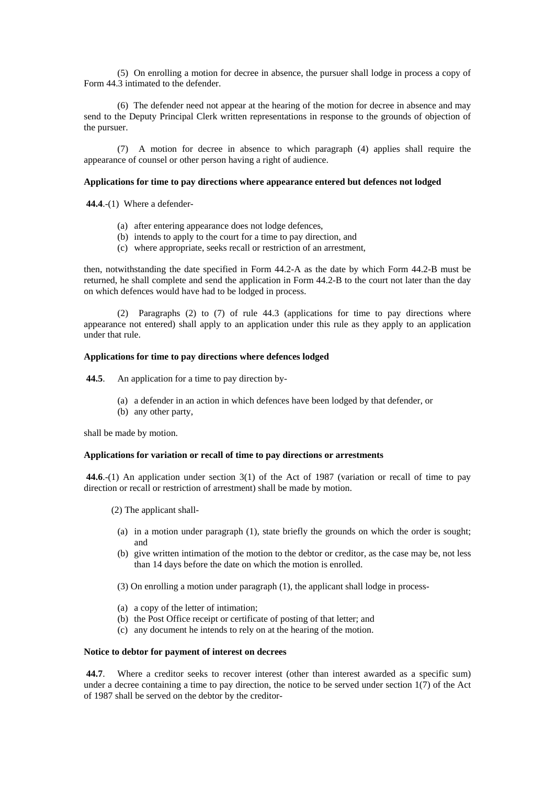(5) On enrolling a motion for decree in absence, the pursuer shall lodge in process a copy of Form 44.3 intimated to the defender.

 (6) The defender need not appear at the hearing of the motion for decree in absence and may send to the Deputy Principal Clerk written representations in response to the grounds of objection of the pursuer.

 (7) A motion for decree in absence to which paragraph (4) applies shall require the appearance of counsel or other person having a right of audience.

## **Applications for time to pay directions where appearance entered but defences not lodged**

 **44.4**.-(1) Where a defender-

- (a) after entering appearance does not lodge defences,
- (b) intends to apply to the court for a time to pay direction, and
- (c) where appropriate, seeks recall or restriction of an arrestment,

then, notwithstanding the date specified in Form 44.2-A as the date by which Form 44.2-B must be returned, he shall complete and send the application in Form 44.2-B to the court not later than the day on which defences would have had to be lodged in process.

 (2) Paragraphs (2) to (7) of rule 44.3 (applications for time to pay directions where appearance not entered) shall apply to an application under this rule as they apply to an application under that rule.

### **Applications for time to pay directions where defences lodged**

 **44.5**. An application for a time to pay direction by-

- (a) a defender in an action in which defences have been lodged by that defender, or
- (b) any other party,

shall be made by motion.

## **Applications for variation or recall of time to pay directions or arrestments**

 **44.6**.-(1) An application under section 3(1) of the Act of 1987 (variation or recall of time to pay direction or recall or restriction of arrestment) shall be made by motion.

- (2) The applicant shall-
	- (a) in a motion under paragraph (1), state briefly the grounds on which the order is sought; and
	- (b) give written intimation of the motion to the debtor or creditor, as the case may be, not less than 14 days before the date on which the motion is enrolled.
	- (3) On enrolling a motion under paragraph (1), the applicant shall lodge in process-
	- (a) a copy of the letter of intimation;
	- (b) the Post Office receipt or certificate of posting of that letter; and
	- (c) any document he intends to rely on at the hearing of the motion.

### **Notice to debtor for payment of interest on decrees**

 **44.7**. Where a creditor seeks to recover interest (other than interest awarded as a specific sum) under a decree containing a time to pay direction, the notice to be served under section 1(7) of the Act of 1987 shall be served on the debtor by the creditor-